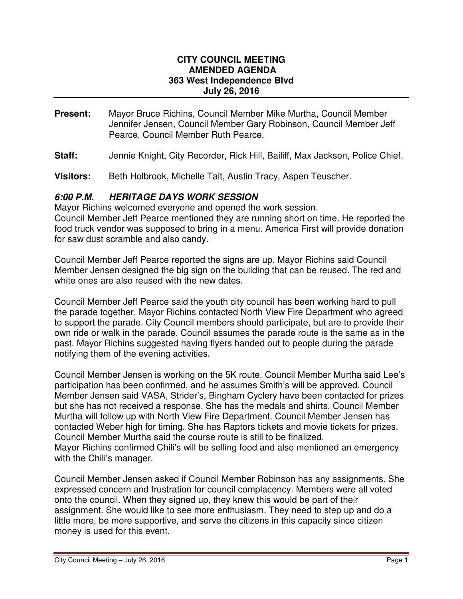#### **CITY COUNCIL MEETING AMENDED AGENDA 363 West Independence Blvd July 26, 2016**

- **Present:** Mayor Bruce Richins, Council Member Mike Murtha, Council Member Jennifer Jensen, Council Member Gary Robinson, Council Member Jeff Pearce, Council Member Ruth Pearce.
- **Staff:** Jennie Knight, City Recorder, Rick Hill, Bailiff, Max Jackson, Police Chief.
- **Visitors:** Beth Holbrook, Michelle Tait, Austin Tracy, Aspen Teuscher.

## **6:00 P.M. HERITAGE DAYS WORK SESSION**

Mayor Richins welcomed everyone and opened the work session. Council Member Jeff Pearce mentioned they are running short on time. He reported the food truck vendor was supposed to bring in a menu. America First will provide donation for saw dust scramble and also candy.

Council Member Jeff Pearce reported the signs are up. Mayor Richins said Council Member Jensen designed the big sign on the building that can be reused. The red and white ones are also reused with the new dates.

Council Member Jeff Pearce said the youth city council has been working hard to pull the parade together. Mayor Richins contacted North View Fire Department who agreed to support the parade. City Council members should participate, but are to provide their own ride or walk in the parade. Council assumes the parade route is the same as in the past. Mayor Richins suggested having flyers handed out to people during the parade notifying them of the evening activities.

Council Member Jensen is working on the 5K route. Council Member Murtha said Lee's participation has been confirmed, and he assumes Smith's will be approved. Council Member Jensen said VASA, Strider's, Bingham Cyclery have been contacted for prizes but she has not received a response. She has the medals and shirts. Council Member Murtha will follow up with North View Fire Department. Council Member Jensen has contacted Weber high for timing. She has Raptors tickets and movie tickets for prizes. Council Member Murtha said the course route is still to be finalized. Mayor Richins confirmed Chili's will be selling food and also mentioned an emergency with the Chili's manager.

Council Member Jensen asked if Council Member Robinson has any assignments. She expressed concern and frustration for council complacency. Members were all voted onto the council. When they signed up, they knew this would be part of their assignment. She would like to see more enthusiasm. They need to step up and do a little more, be more supportive, and serve the citizens in this capacity since citizen money is used for this event.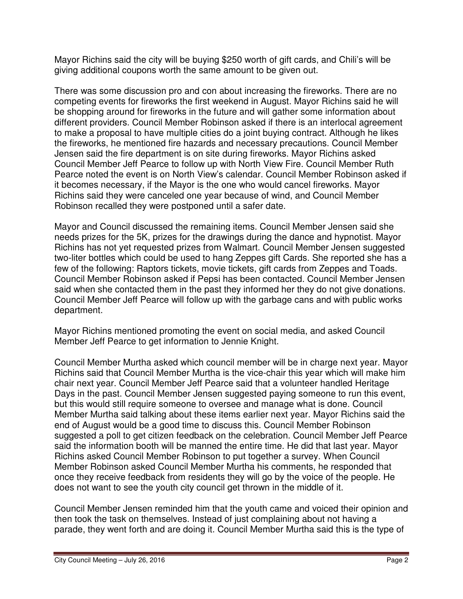Mayor Richins said the city will be buying \$250 worth of gift cards, and Chili's will be giving additional coupons worth the same amount to be given out.

There was some discussion pro and con about increasing the fireworks. There are no competing events for fireworks the first weekend in August. Mayor Richins said he will be shopping around for fireworks in the future and will gather some information about different providers. Council Member Robinson asked if there is an interlocal agreement to make a proposal to have multiple cities do a joint buying contract. Although he likes the fireworks, he mentioned fire hazards and necessary precautions. Council Member Jensen said the fire department is on site during fireworks. Mayor Richins asked Council Member Jeff Pearce to follow up with North View Fire. Council Member Ruth Pearce noted the event is on North View's calendar. Council Member Robinson asked if it becomes necessary, if the Mayor is the one who would cancel fireworks. Mayor Richins said they were canceled one year because of wind, and Council Member Robinson recalled they were postponed until a safer date.

Mayor and Council discussed the remaining items. Council Member Jensen said she needs prizes for the 5K, prizes for the drawings during the dance and hypnotist. Mayor Richins has not yet requested prizes from Walmart. Council Member Jensen suggested two-liter bottles which could be used to hang Zeppes gift Cards. She reported she has a few of the following: Raptors tickets, movie tickets, gift cards from Zeppes and Toads. Council Member Robinson asked if Pepsi has been contacted. Council Member Jensen said when she contacted them in the past they informed her they do not give donations. Council Member Jeff Pearce will follow up with the garbage cans and with public works department.

Mayor Richins mentioned promoting the event on social media, and asked Council Member Jeff Pearce to get information to Jennie Knight.

Council Member Murtha asked which council member will be in charge next year. Mayor Richins said that Council Member Murtha is the vice-chair this year which will make him chair next year. Council Member Jeff Pearce said that a volunteer handled Heritage Days in the past. Council Member Jensen suggested paying someone to run this event, but this would still require someone to oversee and manage what is done. Council Member Murtha said talking about these items earlier next year. Mayor Richins said the end of August would be a good time to discuss this. Council Member Robinson suggested a poll to get citizen feedback on the celebration. Council Member Jeff Pearce said the information booth will be manned the entire time. He did that last year. Mayor Richins asked Council Member Robinson to put together a survey. When Council Member Robinson asked Council Member Murtha his comments, he responded that once they receive feedback from residents they will go by the voice of the people. He does not want to see the youth city council get thrown in the middle of it.

Council Member Jensen reminded him that the youth came and voiced their opinion and then took the task on themselves. Instead of just complaining about not having a parade, they went forth and are doing it. Council Member Murtha said this is the type of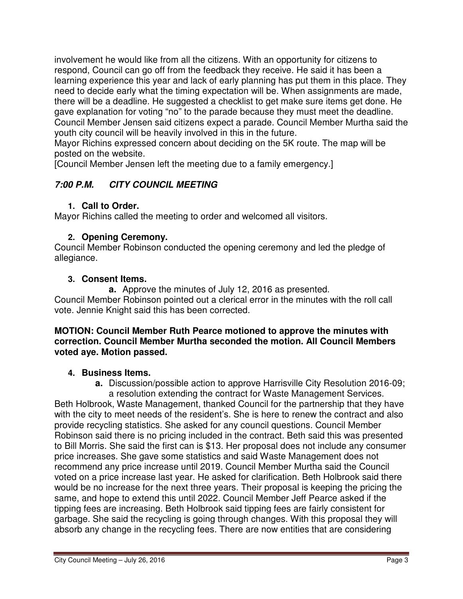involvement he would like from all the citizens. With an opportunity for citizens to respond, Council can go off from the feedback they receive. He said it has been a learning experience this year and lack of early planning has put them in this place. They need to decide early what the timing expectation will be. When assignments are made, there will be a deadline. He suggested a checklist to get make sure items get done. He gave explanation for voting "no" to the parade because they must meet the deadline. Council Member Jensen said citizens expect a parade. Council Member Murtha said the youth city council will be heavily involved in this in the future.

Mayor Richins expressed concern about deciding on the 5K route. The map will be posted on the website.

[Council Member Jensen left the meeting due to a family emergency.]

# **7:00 P.M. CITY COUNCIL MEETING**

## **1. Call to Order.**

Mayor Richins called the meeting to order and welcomed all visitors.

## **2. Opening Ceremony.**

Council Member Robinson conducted the opening ceremony and led the pledge of allegiance.

## **3. Consent Items.**

**a.** Approve the minutes of July 12, 2016 as presented. Council Member Robinson pointed out a clerical error in the minutes with the roll call vote. Jennie Knight said this has been corrected.

### **MOTION: Council Member Ruth Pearce motioned to approve the minutes with correction. Council Member Murtha seconded the motion. All Council Members voted aye. Motion passed.**

## **4. Business Items.**

**a.** Discussion/possible action to approve Harrisville City Resolution 2016-09;

a resolution extending the contract for Waste Management Services. Beth Holbrook, Waste Management, thanked Council for the partnership that they have with the city to meet needs of the resident's. She is here to renew the contract and also provide recycling statistics. She asked for any council questions. Council Member Robinson said there is no pricing included in the contract. Beth said this was presented to Bill Morris. She said the first can is \$13. Her proposal does not include any consumer price increases. She gave some statistics and said Waste Management does not recommend any price increase until 2019. Council Member Murtha said the Council voted on a price increase last year. He asked for clarification. Beth Holbrook said there would be no increase for the next three years. Their proposal is keeping the pricing the same, and hope to extend this until 2022. Council Member Jeff Pearce asked if the tipping fees are increasing. Beth Holbrook said tipping fees are fairly consistent for garbage. She said the recycling is going through changes. With this proposal they will absorb any change in the recycling fees. There are now entities that are considering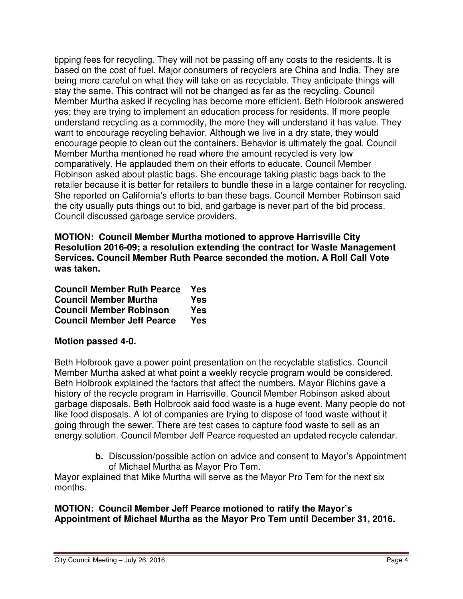tipping fees for recycling. They will not be passing off any costs to the residents. It is based on the cost of fuel. Major consumers of recyclers are China and India. They are being more careful on what they will take on as recyclable. They anticipate things will stay the same. This contract will not be changed as far as the recycling. Council Member Murtha asked if recycling has become more efficient. Beth Holbrook answered yes; they are trying to implement an education process for residents. If more people understand recycling as a commodity, the more they will understand it has value. They want to encourage recycling behavior. Although we live in a dry state, they would encourage people to clean out the containers. Behavior is ultimately the goal. Council Member Murtha mentioned he read where the amount recycled is very low comparatively. He applauded them on their efforts to educate. Council Member Robinson asked about plastic bags. She encourage taking plastic bags back to the retailer because it is better for retailers to bundle these in a large container for recycling. She reported on California's efforts to ban these bags. Council Member Robinson said the city usually puts things out to bid, and garbage is never part of the bid process. Council discussed garbage service providers.

**MOTION: Council Member Murtha motioned to approve Harrisville City Resolution 2016-09; a resolution extending the contract for Waste Management Services. Council Member Ruth Pearce seconded the motion. A Roll Call Vote was taken.** 

| <b>Council Member Ruth Pearce</b> | Yes |
|-----------------------------------|-----|
| <b>Council Member Murtha</b>      | Yes |
| <b>Council Member Robinson</b>    | Yes |
| <b>Council Member Jeff Pearce</b> | Yes |

## **Motion passed 4-0.**

Beth Holbrook gave a power point presentation on the recyclable statistics. Council Member Murtha asked at what point a weekly recycle program would be considered. Beth Holbrook explained the factors that affect the numbers. Mayor Richins gave a history of the recycle program in Harrisville. Council Member Robinson asked about garbage disposals. Beth Holbrook said food waste is a huge event. Many people do not like food disposals. A lot of companies are trying to dispose of food waste without it going through the sewer. There are test cases to capture food waste to sell as an energy solution. Council Member Jeff Pearce requested an updated recycle calendar.

> **b.** Discussion/possible action on advice and consent to Mayor's Appointment of Michael Murtha as Mayor Pro Tem.

Mayor explained that Mike Murtha will serve as the Mayor Pro Tem for the next six months.

### **MOTION: Council Member Jeff Pearce motioned to ratify the Mayor's Appointment of Michael Murtha as the Mayor Pro Tem until December 31, 2016.**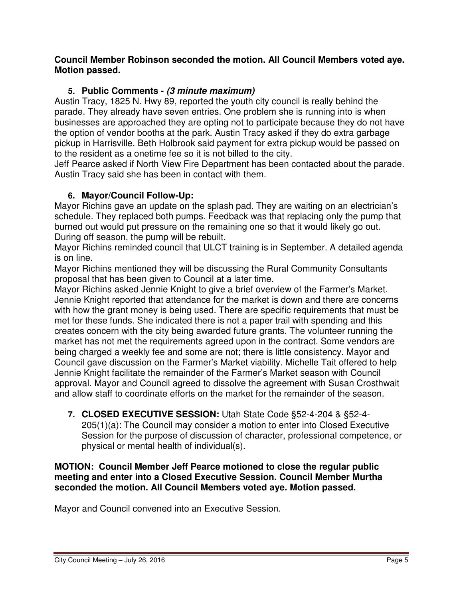### **Council Member Robinson seconded the motion. All Council Members voted aye. Motion passed.**

## **5. Public Comments - (3 minute maximum)**

Austin Tracy, 1825 N. Hwy 89, reported the youth city council is really behind the parade. They already have seven entries. One problem she is running into is when businesses are approached they are opting not to participate because they do not have the option of vendor booths at the park. Austin Tracy asked if they do extra garbage pickup in Harrisville. Beth Holbrook said payment for extra pickup would be passed on to the resident as a onetime fee so it is not billed to the city.

Jeff Pearce asked if North View Fire Department has been contacted about the parade. Austin Tracy said she has been in contact with them.

## **6. Mayor/Council Follow-Up:**

Mayor Richins gave an update on the splash pad. They are waiting on an electrician's schedule. They replaced both pumps. Feedback was that replacing only the pump that burned out would put pressure on the remaining one so that it would likely go out. During off season, the pump will be rebuilt.

Mayor Richins reminded council that ULCT training is in September. A detailed agenda is on line.

Mayor Richins mentioned they will be discussing the Rural Community Consultants proposal that has been given to Council at a later time.

Mayor Richins asked Jennie Knight to give a brief overview of the Farmer's Market. Jennie Knight reported that attendance for the market is down and there are concerns with how the grant money is being used. There are specific requirements that must be met for these funds. She indicated there is not a paper trail with spending and this creates concern with the city being awarded future grants. The volunteer running the market has not met the requirements agreed upon in the contract. Some vendors are being charged a weekly fee and some are not; there is little consistency. Mayor and Council gave discussion on the Farmer's Market viability. Michelle Tait offered to help Jennie Knight facilitate the remainder of the Farmer's Market season with Council approval. Mayor and Council agreed to dissolve the agreement with Susan Crosthwait and allow staff to coordinate efforts on the market for the remainder of the season.

**7. CLOSED EXECUTIVE SESSION:** Utah State Code §52-4-204 & §52-4- 205(1)(a): The Council may consider a motion to enter into Closed Executive Session for the purpose of discussion of character, professional competence, or physical or mental health of individual(s).

**MOTION: Council Member Jeff Pearce motioned to close the regular public meeting and enter into a Closed Executive Session. Council Member Murtha seconded the motion. All Council Members voted aye. Motion passed.** 

Mayor and Council convened into an Executive Session.